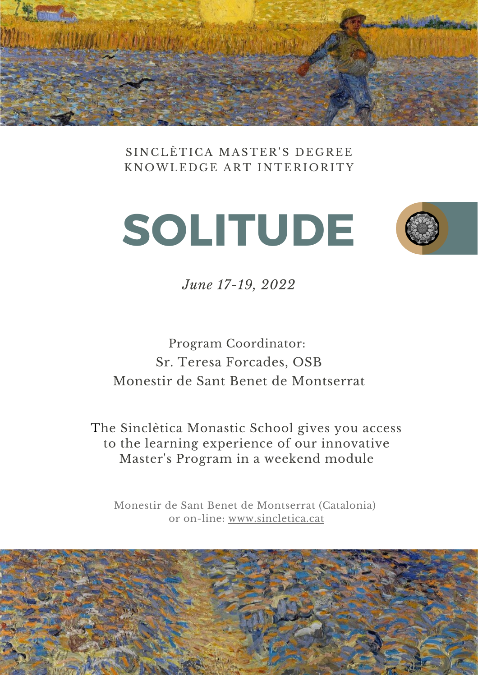

SINCLÈTICA MASTER'S DEGREE KNOWLEDGE ART INTERIORITY





*June 17-19, 2022*

Program Coordinator: Sr. Teresa Forcades, OSB Monestir de Sant Benet de Montserrat

The Sinclètica Monastic School gives you access to the learning experience of our innovative Master's Program in a weekend module

Monestir de Sant Benet de Montserrat (Catalonia) or on-lin[e:](https://www.sincletica.cat/) [www.sincletica.cat](https://www.sincletica.cat/)

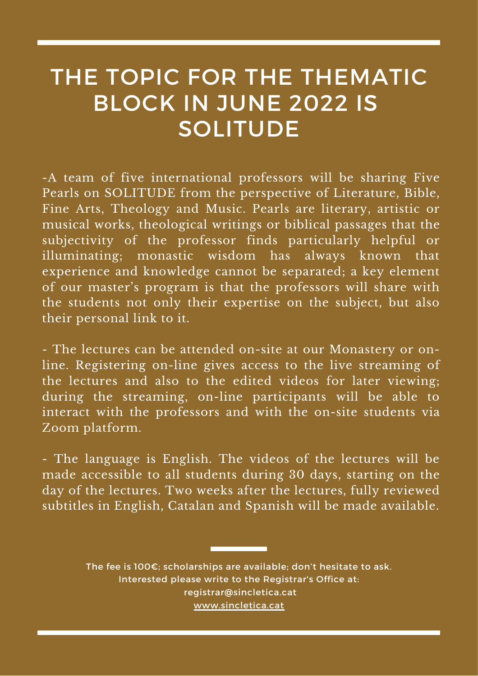# THE TOPIC FOR THE THEMATIC BLOCK IN JUNE 2022 IS **SOLITUDE**

-A team of five international professors will be sharing Five Pearls on SOLITUDE from the perspective of Literature, Bible, Fine Arts, Theology and Music. Pearls are literary, artistic or musical works, theological writings or biblical passages that the subjectivity of the professor finds particularly helpful or illuminating; monastic wisdom has always known that experience and knowledge cannot be separated; a key element of our master's program is that the professors will share with the students not only their expertise on the subject, but also their personal link to it.

- The lectures can be attended on-site at our Monastery or online. Registering on-line gives access to the live streaming of the lectures and also to the edited videos for later viewing; during the streaming, on-line participants will be able to interact with the professors and with the on-site students via Zoom platform.

- The language is English. The videos of the lectures will be made accessible to all students during 30 days, starting on the day of the lectures. Two weeks after the lectures, fully reviewed subtitles in English, Catalan and Spanish will be made available.

> The fee is 100€; scholarships are available; don't hesitate to ask. Interested please write to the Registrar's Office at: [registrar@sincletica.cat](http://sincletica.cat/) [www.sincletica.cat](https://www.sincletica.cat/)